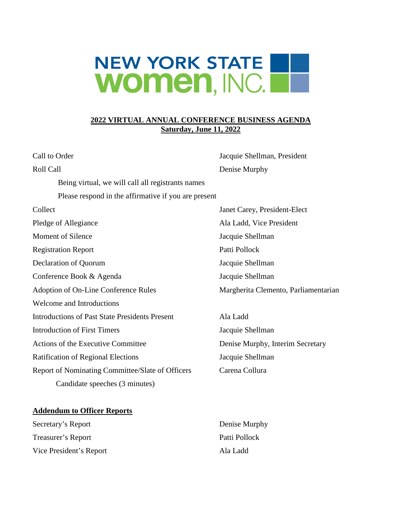## **NEW YORK STATE** Women, INC.

## **2022 VIRTUAL ANNUAL CONFERENCE BUSINESS AGENDA Saturday, June 11, 2022**

| Call to Order                                         | Jacquie Shellman, President          |
|-------------------------------------------------------|--------------------------------------|
| Roll Call                                             | Denise Murphy                        |
| Being virtual, we will call all registrants names     |                                      |
| Please respond in the affirmative if you are present  |                                      |
| Collect                                               | Janet Carey, President-Elect         |
| Pledge of Allegiance                                  | Ala Ladd, Vice President             |
| Moment of Silence                                     | Jacquie Shellman                     |
| <b>Registration Report</b>                            | Patti Pollock                        |
| Declaration of Quorum                                 | Jacquie Shellman                     |
| Conference Book & Agenda                              | Jacquie Shellman                     |
| Adoption of On-Line Conference Rules                  | Margherita Clemento, Parliamentarian |
| <b>Welcome and Introductions</b>                      |                                      |
| <b>Introductions of Past State Presidents Present</b> | Ala Ladd                             |
| <b>Introduction of First Timers</b>                   | Jacquie Shellman                     |
| Actions of the Executive Committee                    | Denise Murphy, Interim Secretary     |
| <b>Ratification of Regional Elections</b>             | Jacquie Shellman                     |
| Report of Nominating Committee/Slate of Officers      | Carena Collura                       |
| Candidate speeches (3 minutes)                        |                                      |
|                                                       |                                      |

## **Addendum to Officer Reports**

Secretary's Report Denise Murphy Treasurer's Report Patti Pollock Vice President's Report Ala Ladd